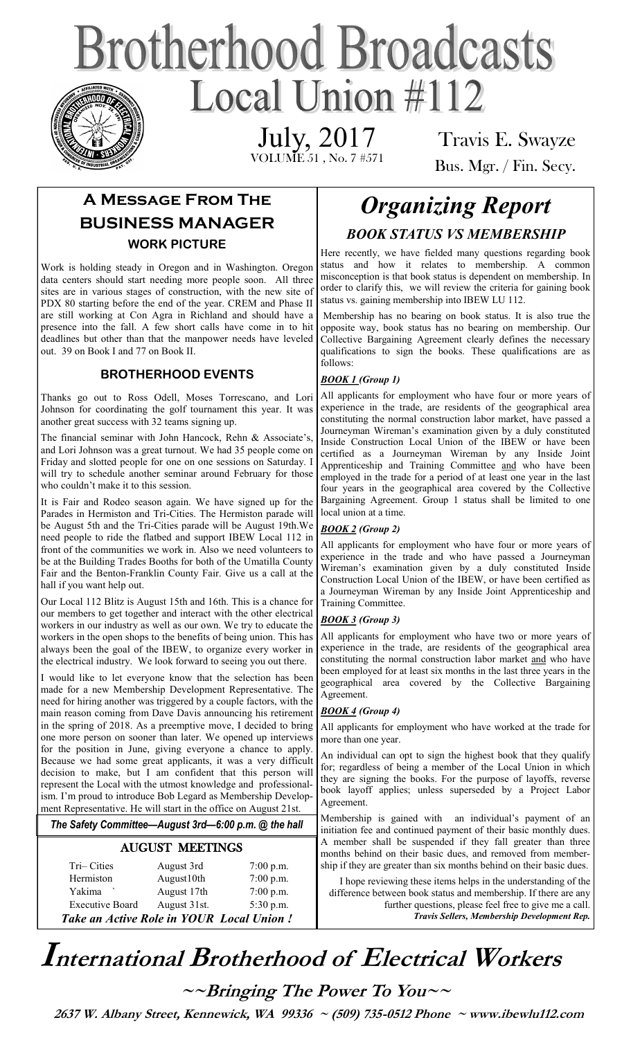# **Brotherhood Broadcasts** Local Union  $\#112$

July, 2017

VOLUME 51 , No. 7 #571

Travis E. Swayze Bus. Mgr. / Fin. Secy.

# **A Message From The BUSINESS MANAGER WORK PICTURE**

Work is holding steady in Oregon and in Washington. Oregon data centers should start needing more people soon. All three sites are in various stages of construction, with the new site of PDX 80 starting before the end of the year. CREM and Phase II are still working at Con Agra in Richland and should have a presence into the fall. A few short calls have come in to hit deadlines but other than that the manpower needs have leveled out. 39 on Book I and 77 on Book II.

#### **BROTHERHOOD EVENTS**

Thanks go out to Ross Odell, Moses Torrescano, and Lori Johnson for coordinating the golf tournament this year. It was another great success with 32 teams signing up.

The financial seminar with John Hancock, Rehn & Associate's, and Lori Johnson was a great turnout. We had 35 people come on Friday and slotted people for one on one sessions on Saturday. I will try to schedule another seminar around February for those who couldn't make it to this session.

It is Fair and Rodeo season again. We have signed up for the Parades in Hermiston and Tri-Cities. The Hermiston parade will be August 5th and the Tri-Cities parade will be August 19th.We need people to ride the flatbed and support IBEW Local 112 in front of the communities we work in. Also we need volunteers to be at the Building Trades Booths for both of the Umatilla County Fair and the Benton-Franklin County Fair. Give us a call at the hall if you want help out.

Our Local 112 Blitz is August 15th and 16th. This is a chance for our members to get together and interact with the other electrical workers in our industry as well as our own. We try to educate the workers in the open shops to the benefits of being union. This has always been the goal of the IBEW, to organize every worker in the electrical industry. We look forward to seeing you out there.

I would like to let everyone know that the selection has been made for a new Membership Development Representative. The need for hiring another was triggered by a couple factors, with the main reason coming from Dave Davis announcing his retirement in the spring of 2018. As a preemptive move, I decided to bring one more person on sooner than later. We opened up interviews for the position in June, giving everyone a chance to apply. Because we had some great applicants, it was a very difficult decision to make, but I am confident that this person will represent the Local with the utmost knowledge and professionalism. I'm proud to introduce Bob Legard as Membership Development Representative. He will start in the office on August 21st.

*The Safety Committee—August 3rd—6:00 p.m. @ the hall*

#### AUGUST MEETINGS

|                        |              | Take an Active Role in YOUR Local Union! |
|------------------------|--------------|------------------------------------------|
| <b>Executive Board</b> | August 31st. | 5:30 p.m.                                |
| Yakima                 | August 17th  | $7:00$ p.m.                              |
| Hermiston              | August10th   | 7:00 p.m.                                |
| Tri-Cities             | August 3rd   | $7:00$ p.m.                              |
|                        |              |                                          |

# *Organizing Report BOOK STATUS VS MEMBERSHIP*

Here recently, we have fielded many questions regarding book status and how it relates to membership. A common misconception is that book status is dependent on membership. In order to clarify this, we will review the criteria for gaining book status vs. gaining membership into IBEW LU 112.

Membership has no bearing on book status. It is also true the opposite way, book status has no bearing on membership. Our Collective Bargaining Agreement clearly defines the necessary qualifications to sign the books. These qualifications are as follows:

#### *BOOK 1 (Group 1)*

All applicants for employment who have four or more years of experience in the trade, are residents of the geographical area constituting the normal construction labor market, have passed a Journeyman Wireman's examination given by a duly constituted Inside Construction Local Union of the IBEW or have been certified as a Journeyman Wireman by any Inside Joint Apprenticeship and Training Committee and who have been employed in the trade for a period of at least one year in the last four years in the geographical area covered by the Collective Bargaining Agreement. Group 1 status shall be limited to one local union at a time.

#### *BOOK 2 (Group 2)*

All applicants for employment who have four or more years of experience in the trade and who have passed a Journeyman Wireman's examination given by a duly constituted Inside Construction Local Union of the IBEW, or have been certified as a Journeyman Wireman by any Inside Joint Apprenticeship and Training Committee.

#### *BOOK 3 (Group 3)*

All applicants for employment who have two or more years of experience in the trade, are residents of the geographical area constituting the normal construction labor market and who have been employed for at least six months in the last three years in the geographical area covered by the Collective Bargaining Agreement.

#### *BOOK 4 (Group 4)*

All applicants for employment who have worked at the trade for more than one year.

An individual can opt to sign the highest book that they qualify for; regardless of being a member of the Local Union in which they are signing the books. For the purpose of layoffs, reverse book layoff applies; unless superseded by a Project Labor Agreement.

Membership is gained with an individual's payment of an initiation fee and continued payment of their basic monthly dues. A member shall be suspended if they fall greater than three months behind on their basic dues, and removed from membership if they are greater than six months behind on their basic dues.

I hope reviewing these items helps in the understanding of the difference between book status and membership. If there are any further questions, please feel free to give me a call. *Travis Sellers, Membership Development Rep.* 

# **International Brotherhood of <sup>E</sup>lectrical Workers**

**~~Bringing The Power To You~~** 

 **2637 W. Albany Street, Kennewick, WA 99336 ~ (509) 735-0512 Phone ~ www.ibewlu112.com**